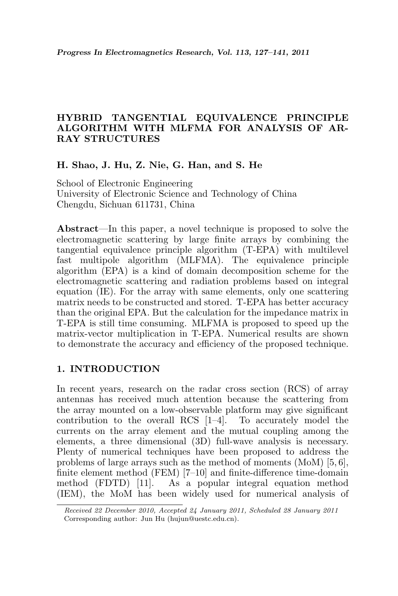# HYBRID TANGENTIAL EQUIVALENCE PRINCIPLE ALGORITHM WITH MLFMA FOR ANALYSIS OF AR-RAY STRUCTURES

## H. Shao, J. Hu, Z. Nie, G. Han, and S. He

School of Electronic Engineering University of Electronic Science and Technology of China Chengdu, Sichuan 611731, China

Abstract—In this paper, a novel technique is proposed to solve the electromagnetic scattering by large finite arrays by combining the tangential equivalence principle algorithm (T-EPA) with multilevel fast multipole algorithm (MLFMA). The equivalence principle algorithm (EPA) is a kind of domain decomposition scheme for the electromagnetic scattering and radiation problems based on integral equation (IE). For the array with same elements, only one scattering matrix needs to be constructed and stored. T-EPA has better accuracy than the original EPA. But the calculation for the impedance matrix in T-EPA is still time consuming. MLFMA is proposed to speed up the matrix-vector multiplication in T-EPA. Numerical results are shown to demonstrate the accuracy and efficiency of the proposed technique.

## 1. INTRODUCTION

In recent years, research on the radar cross section (RCS) of array antennas has received much attention because the scattering from the array mounted on a low-observable platform may give significant contribution to the overall RCS [1–4]. To accurately model the currents on the array element and the mutual coupling among the elements, a three dimensional (3D) full-wave analysis is necessary. Plenty of numerical techniques have been proposed to address the problems of large arrays such as the method of moments (MoM) [5, 6], finite element method (FEM) [7-10] and finite-difference time-domain method (FDTD) [11]. As a popular integral equation method (IEM), the MoM has been widely used for numerical analysis of

Received 22 December 2010, Accepted 24 January 2011, Scheduled 28 January 2011 Corresponding author: Jun Hu (hujun@uestc.edu.cn).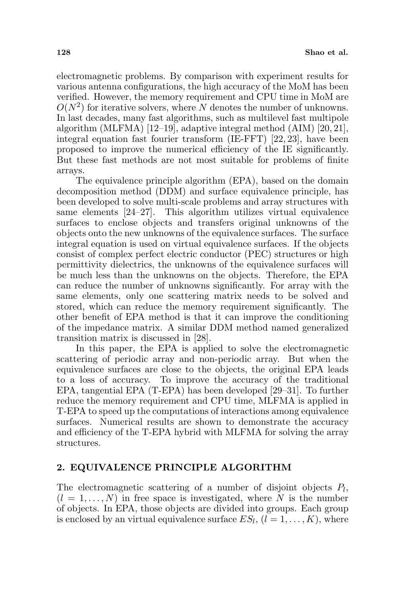electromagnetic problems. By comparison with experiment results for various antenna configurations, the high accuracy of the MoM has been verified. However, the memory requirement and CPU time in MoM are  $O(N^2)$  for iterative solvers, where N denotes the number of unknowns. In last decades, many fast algorithms, such as multilevel fast multipole algorithm (MLFMA) [12–19], adaptive integral method (AIM) [20, 21], integral equation fast fourier transform (IE-FFT) [22, 23], have been proposed to improve the numerical efficiency of the IE significantly. But these fast methods are not most suitable for problems of finite arrays.

The equivalence principle algorithm (EPA), based on the domain decomposition method (DDM) and surface equivalence principle, has been developed to solve multi-scale problems and array structures with same elements [24–27]. This algorithm utilizes virtual equivalence surfaces to enclose objects and transfers original unknowns of the objects onto the new unknowns of the equivalence surfaces. The surface integral equation is used on virtual equivalence surfaces. If the objects consist of complex perfect electric conductor (PEC) structures or high permittivity dielectrics, the unknowns of the equivalence surfaces will be much less than the unknowns on the objects. Therefore, the EPA can reduce the number of unknowns significantly. For array with the same elements, only one scattering matrix needs to be solved and stored, which can reduce the memory requirement significantly. The other benefit of EPA method is that it can improve the conditioning of the impedance matrix. A similar DDM method named generalized transition matrix is discussed in [28].

In this paper, the EPA is applied to solve the electromagnetic scattering of periodic array and non-periodic array. But when the equivalence surfaces are close to the objects, the original EPA leads to a loss of accuracy. To improve the accuracy of the traditional EPA, tangential EPA (T-EPA) has been developed [29–31]. To further reduce the memory requirement and CPU time, MLFMA is applied in T-EPA to speed up the computations of interactions among equivalence surfaces. Numerical results are shown to demonstrate the accuracy and efficiency of the T-EPA hybrid with MLFMA for solving the array structures.

#### 2. EQUIVALENCE PRINCIPLE ALGORITHM

The electromagnetic scattering of a number of disjoint objects  $P_l$ ,  $(l = 1, \ldots, N)$  in free space is investigated, where N is the number of objects. In EPA, those objects are divided into groups. Each group is enclosed by an virtual equivalence surface  $ES_l$ ,  $(l = 1, ..., K)$ , where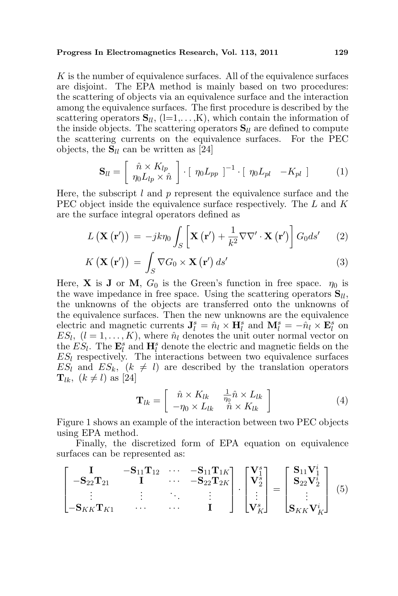#### Progress In Electromagnetics Research, Vol. 113, 2011 129

K is the number of equivalence surfaces. All of the equivalence surfaces are disjoint. The EPA method is mainly based on two procedures: the scattering of objects via an equivalence surface and the interaction among the equivalence surfaces. The first procedure is described by the scattering operators  $\mathbf{S}_{ll}$ , (l=1,...,K), which contain the information of the inside objects. The scattering operators  $S_{ll}$  are defined to compute the scattering currents on the equivalence surfaces. For the PEC objects, the  $S_{ll}$  can be written as [24]

$$
\mathbf{S}_{ll} = \left[ \begin{array}{c} \hat{n} \times K_{lp} \\ \eta_0 L_{lp} \times \hat{n} \end{array} \right] \cdot \left[ \begin{array}{c} \eta_0 L_{pp} \end{array} \right]^{-1} \cdot \left[ \begin{array}{cc} \eta_0 L_{pl} & -K_{pl} \end{array} \right] \tag{1}
$$

Here, the subscript  $l$  and  $p$  represent the equivalence surface and the PEC object inside the equivalence surface respectively. The L and K are the surface integral operators defined as

$$
L\left(\mathbf{X}\left(\mathbf{r}'\right)\right) = -jk\eta_0 \int_S \left[\mathbf{X}\left(\mathbf{r}'\right) + \frac{1}{k^2} \nabla \nabla' \cdot \mathbf{X}\left(\mathbf{r}'\right)\right] G_0 ds' \qquad (2)
$$

$$
K\left(\mathbf{X}\left(\mathbf{r}'\right)\right) = \int_{S} \nabla G_{0} \times \mathbf{X}\left(\mathbf{r}'\right) ds' \tag{3}
$$

Here, **X** is **J** or **M**,  $G_0$  is the Green's function in free space.  $\eta_0$  is the wave impedance in free space. Using the scattering operators  $S_{ll}$ , the unknowns of the objects are transferred onto the unknowns of the equivalence surfaces. Then the new unknowns are the equivalence electric and magnetic currents  $\mathbf{J}_l^s = \hat{n}_l \times \mathbf{H}_l^s$  and  $\mathbf{M}_l^s = -\hat{n}_l \times \mathbf{E}_l^s$  on  $ES_l, (l = 1, ..., K)$ , where  $\hat{n}_l$  denotes the unit outer normal vector on the  $ES_l$ . The  $\mathbf{E}_l^s$  and  $\mathbf{H}_l^s$  denote the electric and magnetic fields on the  $ES_l$  respectively. The interactions between two equivalence surfaces  $ES_l$  and  $ES_k$ ,  $(k \neq l)$  are described by the translation operators  $\mathbf{T}_{lk}$ ,  $(k \neq l)$  as [24]

$$
\mathbf{T}_{lk} = \begin{bmatrix} \hat{n} \times K_{lk} & \frac{1}{\eta_0} \hat{n} \times L_{lk} \\ -\eta_0 \times L_{lk} & \hat{n} \times K_{lk} \end{bmatrix}
$$
 (4)

Figure 1 shows an example of the interaction between two PEC objects using EPA method.

Finally, the discretized form of EPA equation on equivalence surfaces can be represented as:

$$
\begin{bmatrix}\n\mathbf{I} & -\mathbf{S}_{11}\mathbf{T}_{12} & \cdots & -\mathbf{S}_{11}\mathbf{T}_{1K} \\
-\mathbf{S}_{22}\mathbf{T}_{21} & \mathbf{I} & \cdots & -\mathbf{S}_{22}\mathbf{T}_{2K} \\
\vdots & \vdots & \ddots & \vdots \\
-\mathbf{S}_{KK}\mathbf{T}_{K1} & \cdots & \cdots & \mathbf{I}\n\end{bmatrix}\n\cdot\n\begin{bmatrix}\n\mathbf{V}_{1}^{s} \\
\mathbf{V}_{2}^{s} \\
\vdots \\
\mathbf{V}_{K}^{s}\n\end{bmatrix} =\n\begin{bmatrix}\n\mathbf{S}_{11}\mathbf{V}_{1}^{i} \\
\mathbf{S}_{22}\mathbf{V}_{2}^{i} \\
\vdots \\
\mathbf{S}_{KK}\mathbf{V}_{K}^{i}\n\end{bmatrix}
$$
\n(5)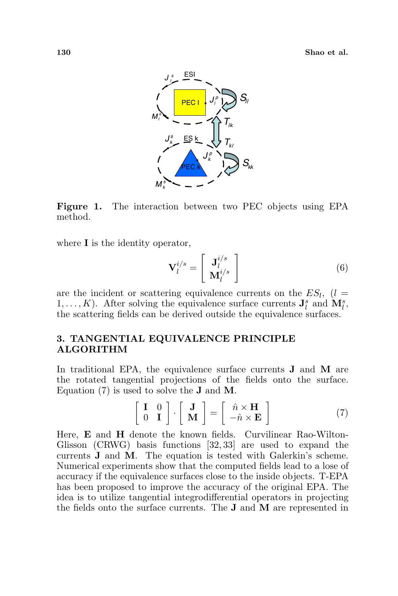

Figure 1. The interaction between two PEC objects using EPA method.

where **I** is the identity operator,

$$
\mathbf{V}_{l}^{i/s} = \left[ \begin{array}{c} \mathbf{J}_{l}^{i/s} \\ \mathbf{M}_{l}^{i/s} \end{array} \right] \tag{6}
$$

are the incident or scattering equivalence currents on the  $ES_l$ ,  $(l =$  $1, \ldots, K$ ). After solving the equivalence surface currents  $\mathbf{J}_l^s$  and  $\mathbf{M}_l^s$ , the scattering fields can be derived outside the equivalence surfaces.

## 3. TANGENTIAL EQUIVALENCE PRINCIPLE ALGORITHM

In traditional EPA, the equivalence surface currents **J** and **M** are the rotated tangential projections of the fields onto the surface. Equation (7) is used to solve the J and M.

$$
\left[\begin{array}{cc} \mathbf{I} & 0 \\ 0 & \mathbf{I} \end{array}\right] \cdot \left[\begin{array}{c} \mathbf{J} \\ \mathbf{M} \end{array}\right] = \left[\begin{array}{c} \hat{n} \times \mathbf{H} \\ -\hat{n} \times \mathbf{E} \end{array}\right] \tag{7}
$$

Here, E and H denote the known fields. Curvilinear Rao-Wilton-Glisson (CRWG) basis functions [32, 33] are used to expand the currents J and M. The equation is tested with Galerkin's scheme. Numerical experiments show that the computed fields lead to a lose of accuracy if the equivalence surfaces close to the inside objects. T-EPA has been proposed to improve the accuracy of the original EPA. The idea is to utilize tangential integrodifferential operators in projecting the fields onto the surface currents. The  $J$  and  $M$  are represented in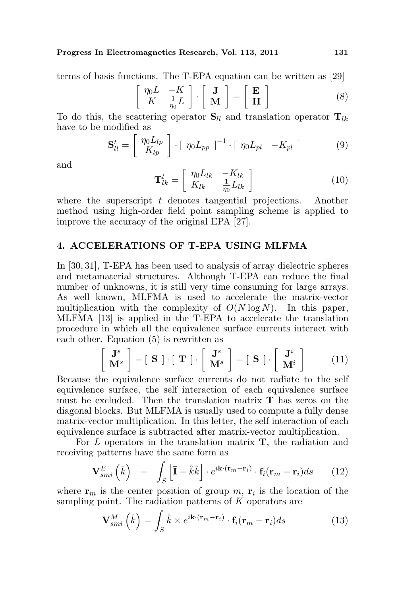Progress In Electromagnetics Research, Vol. 113, 2011 131

terms of basis functions. The T-EPA equation can be written as [29]

$$
\begin{bmatrix} \eta_0 L & -K \\ K & \frac{1}{\eta_0} L \end{bmatrix} \cdot \begin{bmatrix} \mathbf{J} \\ \mathbf{M} \end{bmatrix} = \begin{bmatrix} \mathbf{E} \\ \mathbf{H} \end{bmatrix}
$$
 (8)

To do this, the scattering operator  $S_{ll}$  and translation operator  $T_{lk}$ have to be modified as

$$
\mathbf{S}_{ll}^{t} = \begin{bmatrix} \eta_0 L_{lp} \\ K_{lp} \end{bmatrix} \cdot \begin{bmatrix} \eta_0 L_{pp} \end{bmatrix}^{-1} \cdot \begin{bmatrix} \eta_0 L_{pl} & -K_{pl} \end{bmatrix}
$$
 (9)

and

$$
\mathbf{T}_{lk}^{t} = \begin{bmatrix} \eta_0 L_{lk} & -K_{lk} \\ K_{lk} & \frac{1}{\eta_0} L_{lk} \end{bmatrix}
$$
 (10)

where the superscript  $t$  denotes tangential projections. Another method using high-order field point sampling scheme is applied to improve the accuracy of the original EPA [27].

## 4. ACCELERATIONS OF T-EPA USING MLFMA

In [30, 31], T-EPA has been used to analysis of array dielectric spheres and metamaterial structures. Although T-EPA can reduce the final number of unknowns, it is still very time consuming for large arrays. As well known, MLFMA is used to accelerate the matrix-vector multiplication with the complexity of  $O(N \log N)$ . In this paper, MLFMA [13] is applied in the T-EPA to accelerate the translation procedure in which all the equivalence surface currents interact with each other. Equation  $(5)$  is rewritten as  $\overline{a}$ ·  $\overline{a}$ 

$$
\begin{bmatrix} \mathbf{J}^s \\ \mathbf{M}^s \end{bmatrix} - [\mathbf{S}] \cdot [\mathbf{T}] \cdot \begin{bmatrix} \mathbf{J}^s \\ \mathbf{M}^s \end{bmatrix} = [\mathbf{S}] \cdot \begin{bmatrix} \mathbf{J}^i \\ \mathbf{M}^i \end{bmatrix}
$$
(11)

Because the equivalence surface currents do not radiate to the self equivalence surface, the self interaction of each equivalence surface must be excluded. Then the translation matrix T has zeros on the diagonal blocks. But MLFMA is usually used to compute a fully dense matrix-vector multiplication. In this letter, the self interaction of each equivalence surface is subtracted after matrix-vector multiplication.

For  $L$  operators in the translation matrix  $\mathbf{T}$ , the radiation and receiving patterns have the same form as

$$
\mathbf{V}_{smi}^{E} \left( \hat{k} \right) = \int_{S} \left[ \bar{\mathbf{I}} - \hat{k} \hat{k} \right] \cdot e^{i \mathbf{k} \cdot (\mathbf{r}_{m} - \mathbf{r}_{i})} \cdot \mathbf{f}_{i} (\mathbf{r}_{m} - \mathbf{r}_{i}) ds \qquad (12)
$$

where  $\mathbf{r}_m$  is the center position of group m,  $\mathbf{r}_i$  is the location of the sampling point. The radiation patterns of  $K$  operators are

$$
\mathbf{V}_{smi}^{M}\left(\hat{k}\right) = \int_{S} \hat{k} \times e^{i\mathbf{k}\cdot(\mathbf{r}_{m}-\mathbf{r}_{i})} \cdot \mathbf{f}_{i}(\mathbf{r}_{m}-\mathbf{r}_{i}) ds \qquad (13)
$$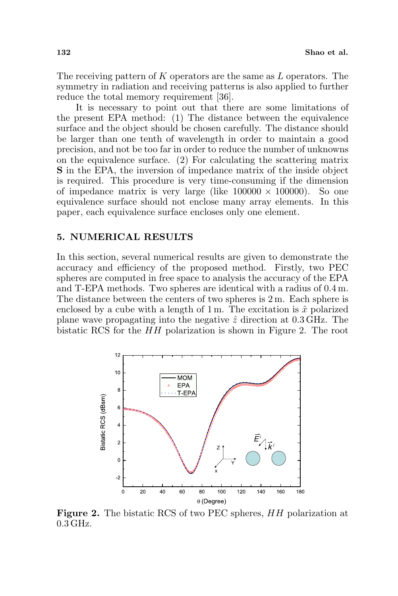The receiving pattern of K operators are the same as  $L$  operators. The symmetry in radiation and receiving patterns is also applied to further reduce the total memory requirement [36].

It is necessary to point out that there are some limitations of the present EPA method: (1) The distance between the equivalence surface and the object should be chosen carefully. The distance should be larger than one tenth of wavelength in order to maintain a good precision, and not be too far in order to reduce the number of unknowns on the equivalence surface. (2) For calculating the scattering matrix S in the EPA, the inversion of impedance matrix of the inside object is required. This procedure is very time-consuming if the dimension of impedance matrix is very large (like  $100000 \times 100000$ ). So one equivalence surface should not enclose many array elements. In this paper, each equivalence surface encloses only one element.

#### 5. NUMERICAL RESULTS

In this section, several numerical results are given to demonstrate the accuracy and efficiency of the proposed method. Firstly, two PEC spheres are computed in free space to analysis the accuracy of the EPA and T-EPA methods. Two spheres are identical with a radius of 0.4 m. The distance between the centers of two spheres is 2 m. Each sphere is enclosed by a cube with a length of 1 m. The excitation is  $\hat{x}$  polarized plane wave propagating into the negative  $\hat{z}$  direction at 0.3 GHz. The bistatic RCS for the HH polarization is shown in Figure 2. The root



Figure 2. The bistatic RCS of two PEC spheres, HH polarization at 0.3 GHz.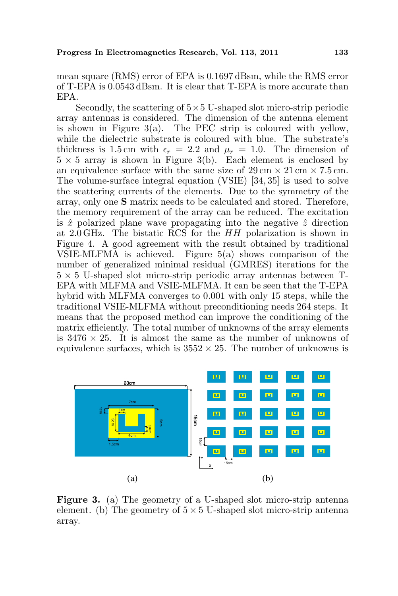mean square (RMS) error of EPA is 0.1697 dBsm, while the RMS error of T-EPA is 0.0543 dBsm. It is clear that T-EPA is more accurate than EPA.

Secondly, the scattering of  $5\times 5$  U-shaped slot micro-strip periodic array antennas is considered. The dimension of the antenna element is shown in Figure  $3(a)$ . The PEC strip is coloured with yellow, while the dielectric substrate is coloured with blue. The substrate's thickness is 1.5 cm with  $\epsilon_r = 2.2$  and  $\mu_r = 1.0$ . The dimension of  $5 \times 5$  array is shown in Figure 3(b). Each element is enclosed by an equivalence surface with the same size of  $29 \text{ cm} \times 21 \text{ cm} \times 7.5 \text{ cm}$ . The volume-surface integral equation (VSIE) [34, 35] is used to solve the scattering currents of the elements. Due to the symmetry of the array, only one S matrix needs to be calculated and stored. Therefore, the memory requirement of the array can be reduced. The excitation is  $\hat{x}$  polarized plane wave propagating into the negative  $\hat{z}$  direction at 2.0 GHz. The bistatic RCS for the HH polarization is shown in Figure 4. A good agreement with the result obtained by traditional VSIE-MLFMA is achieved. Figure 5(a) shows comparison of the number of generalized minimal residual (GMRES) iterations for the  $5 \times 5$  U-shaped slot micro-strip periodic array antennas between T-EPA with MLFMA and VSIE-MLFMA. It can be seen that the T-EPA hybrid with MLFMA converges to 0.001 with only 15 steps, while the traditional VSIE-MLFMA without preconditioning needs 264 steps. It means that the proposed method can improve the conditioning of the matrix efficiently. The total number of unknowns of the array elements is  $3476 \times 25$ . It is almost the same as the number of unknowns of equivalence surfaces, which is  $3552 \times 25$ . The number of unknowns is



Figure 3. (a) The geometry of a U-shaped slot micro-strip antenna element. (b) The geometry of  $5 \times 5$  U-shaped slot micro-strip antenna array.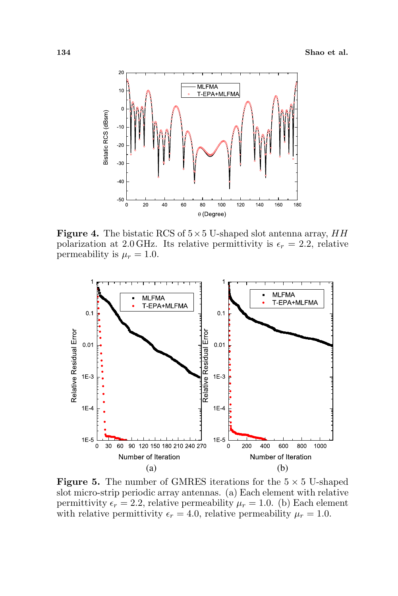

**Figure 4.** The bistatic RCS of  $5 \times 5$  U-shaped slot antenna array, HH polarization at 2.0 GHz. Its relative permittivity is  $\epsilon_r = 2.2$ , relative permeability is  $\mu_r = 1.0$ .



**Figure 5.** The number of GMRES iterations for the  $5 \times 5$  U-shaped slot micro-strip periodic array antennas. (a) Each element with relative permittivity  $\epsilon_r = 2.2$ , relative permeability  $\mu_r = 1.0$ . (b) Each element with relative permittivity  $\epsilon_r = 4.0$ , relative permeability  $\mu_r = 1.0$ .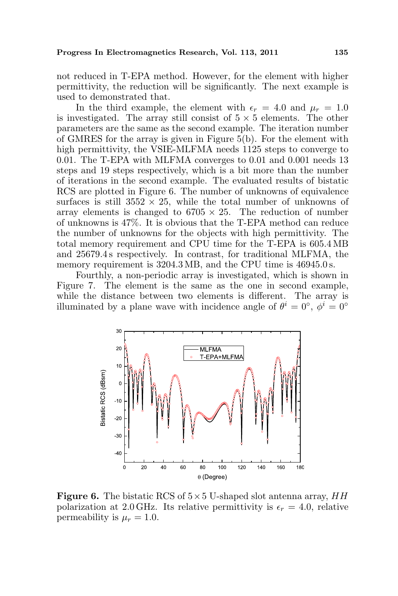not reduced in T-EPA method. However, for the element with higher permittivity, the reduction will be significantly. The next example is used to demonstrated that.

In the third example, the element with  $\epsilon_r = 4.0$  and  $\mu_r = 1.0$ is investigated. The array still consist of  $5 \times 5$  elements. The other parameters are the same as the second example. The iteration number of GMRES for the array is given in Figure 5(b). For the element with high permittivity, the VSIE-MLFMA needs 1125 steps to converge to 0.01. The T-EPA with MLFMA converges to 0.01 and 0.001 needs 13 steps and 19 steps respectively, which is a bit more than the number of iterations in the second example. The evaluated results of bistatic RCS are plotted in Figure 6. The number of unknowns of equivalence surfaces is still  $3552 \times 25$ , while the total number of unknowns of array elements is changed to  $6705 \times 25$ . The reduction of number of unknowns is 47%. It is obvious that the T-EPA method can reduce the number of unknowns for the objects with high permittivity. The total memory requirement and CPU time for the T-EPA is 605.4 MB and 25679.4 s respectively. In contrast, for traditional MLFMA, the memory requirement is  $3204.3 \text{ MB}$ , and the CPU time is  $46945.0 \text{ s}$ .

Fourthly, a non-periodic array is investigated, which is shown in Figure 7. The element is the same as the one in second example, while the distance between two elements is different. The array is illuminated by a plane wave with incidence angle of  $\theta^i = 0^{\circ}$ ,  $\phi^i = 0^{\circ}$ 



**Figure 6.** The bistatic RCS of  $5 \times 5$  U-shaped slot antenna array, HH polarization at 2.0 GHz. Its relative permittivity is  $\epsilon_r = 4.0$ , relative permeability is  $\mu_r = 1.0$ .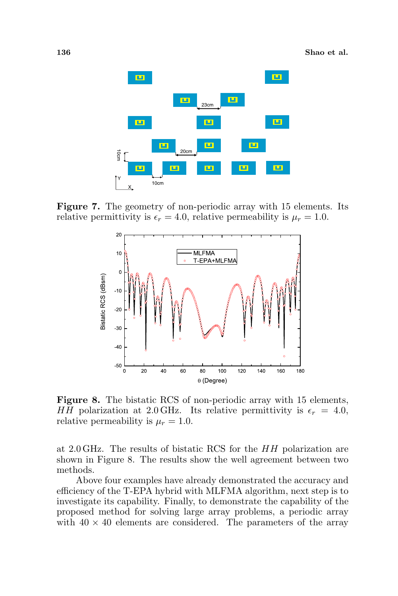

Figure 7. The geometry of non-periodic array with 15 elements. Its relative permittivity is  $\epsilon_r = 4.0$ , relative permeability is  $\mu_r = 1.0$ .



Figure 8. The bistatic RCS of non-periodic array with 15 elements, HH polarization at 2.0 GHz. Its relative permittivity is  $\epsilon_r = 4.0$ , relative permeability is  $\mu_r = 1.0$ .

at 2.0 GHz. The results of bistatic RCS for the HH polarization are shown in Figure 8. The results show the well agreement between two methods.

Above four examples have already demonstrated the accuracy and efficiency of the T-EPA hybrid with MLFMA algorithm, next step is to investigate its capability. Finally, to demonstrate the capability of the proposed method for solving large array problems, a periodic array with  $40 \times 40$  elements are considered. The parameters of the array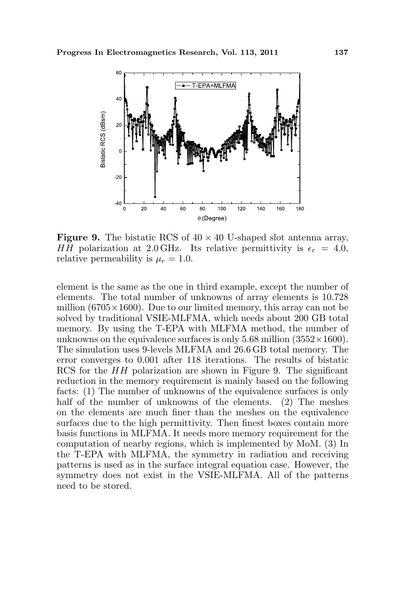

**Figure 9.** The bistatic RCS of  $40 \times 40$  U-shaped slot antenna array, HH polarization at 2.0 GHz. Its relative permittivity is  $\epsilon_r = 4.0$ , relative permeability is  $\mu_r = 1.0$ .

element is the same as the one in third example, except the number of elements. The total number of unknowns of array elements is 10.728 million  $(6705\times1600)$ . Due to our limited memory, this array can not be solved by traditional VSIE-MLFMA, which needs about 200 GB total memory. By using the T-EPA with MLFMA method, the number of unknowns on the equivalence surfaces is only 5.68 million  $(3552\times1600)$ . The simulation uses 9-levels MLFMA and 26.6 GB total memory. The error converges to 0.001 after 118 iterations. The results of bistatic RCS for the  $HH$  polarization are shown in Figure 9. The significant reduction in the memory requirement is mainly based on the following facts: (1) The number of unknowns of the equivalence surfaces is only half of the number of unknowns of the elements. (2) The meshes on the elements are much finer than the meshes on the equivalence surfaces due to the high permittivity. Then finest boxes contain more basis functions in MLFMA. It needs more memory requirement for the computation of nearby regions, which is implemented by MoM. (3) In the T-EPA with MLFMA, the symmetry in radiation and receiving patterns is used as in the surface integral equation case. However, the symmetry does not exist in the VSIE-MLFMA. All of the patterns need to be stored.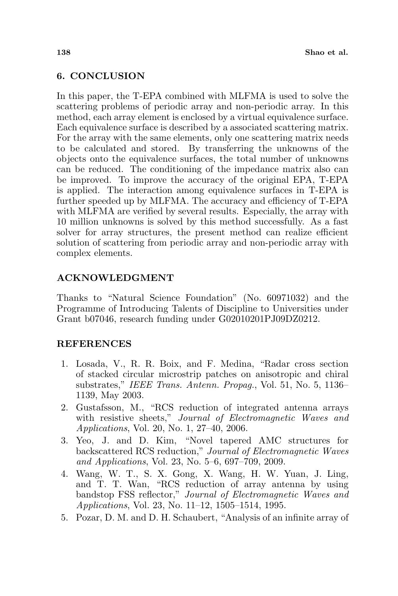# 6. CONCLUSION

In this paper, the T-EPA combined with MLFMA is used to solve the scattering problems of periodic array and non-periodic array. In this method, each array element is enclosed by a virtual equivalence surface. Each equivalence surface is described by a associated scattering matrix. For the array with the same elements, only one scattering matrix needs to be calculated and stored. By transferring the unknowns of the objects onto the equivalence surfaces, the total number of unknowns can be reduced. The conditioning of the impedance matrix also can be improved. To improve the accuracy of the original EPA, T-EPA is applied. The interaction among equivalence surfaces in T-EPA is further speeded up by MLFMA. The accuracy and efficiency of T-EPA with MLFMA are verified by several results. Especially, the array with 10 million unknowns is solved by this method successfully. As a fast solver for array structures, the present method can realize efficient solution of scattering from periodic array and non-periodic array with complex elements.

## ACKNOWLEDGMENT

Thanks to "Natural Science Foundation" (No. 60971032) and the Programme of Introducing Talents of Discipline to Universities under Grant b07046, research funding under G02010201PJ09DZ0212.

## **REFERENCES**

- 1. Losada, V., R. R. Boix, and F. Medina, "Radar cross section of stacked circular microstrip patches on anisotropic and chiral substrates," IEEE Trans. Antenn. Propag., Vol. 51, No. 5, 1136– 1139, May 2003.
- 2. Gustafsson, M., "RCS reduction of integrated antenna arrays with resistive sheets," Journal of Electromagnetic Waves and Applications, Vol. 20, No. 1, 27–40, 2006.
- 3. Yeo, J. and D. Kim, "Novel tapered AMC structures for backscattered RCS reduction," Journal of Electromagnetic Waves and Applications, Vol. 23, No. 5–6, 697–709, 2009.
- 4. Wang, W. T., S. X. Gong, X. Wang, H. W. Yuan, J. Ling, and T. T. Wan, "RCS reduction of array antenna by using bandstop FSS reflector," Journal of Electromagnetic Waves and Applications, Vol. 23, No. 11–12, 1505–1514, 1995.
- 5. Pozar, D. M. and D. H. Schaubert, "Analysis of an infinite array of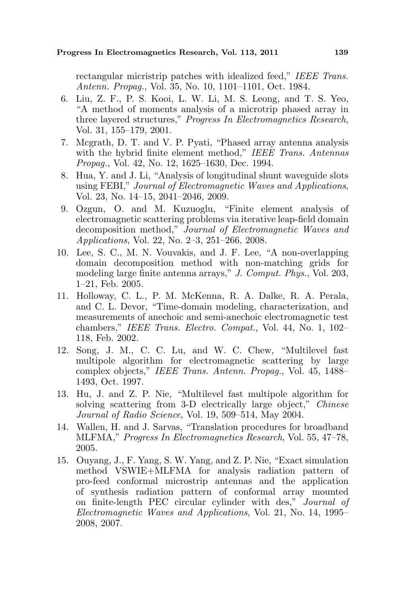rectangular micristrip patches with idealized feed," IEEE Trans. Antenn. Propag., Vol. 35, No. 10, 1101–1101, Oct. 1984.

- 6. Liu, Z. F., P. S. Kooi, L. W. Li, M. S. Leong, and T. S. Yeo, "A method of moments analysis of a microtrip phased array in three layered structures," Progress In Electromagnetics Research, Vol. 31, 155–179, 2001.
- 7. Mcgrath, D. T. and V. P. Pyati, "Phased array antenna analysis with the hybrid finite element method," IEEE Trans. Antennas Propag., Vol. 42, No. 12, 1625–1630, Dec. 1994.
- 8. Hua, Y. and J. Li, "Analysis of longitudinal shunt waveguide slots using FEBI," Journal of Electromagnetic Waves and Applications, Vol. 23, No. 14–15, 2041–2046, 2009.
- 9. Ozgun, O. and M. Kuzuoglu, "Finite element analysis of electromagnetic scattering problems via iterative leap-field domain decomposition method," Journal of Electromagnetic Waves and Applications, Vol. 22, No. 2–3, 251–266, 2008.
- 10. Lee, S. C., M. N. Vouvakis, and J. F. Lee, "A non-overlapping domain decomposition method with non-matching grids for modeling large finite antenna arrays," J. Comput. Phys., Vol. 203, 1–21, Feb. 2005.
- 11. Holloway, C. L., P. M. McKenna, R. A. Dalke, R. A. Perala, and C. L. Devor, "Time-domain modeling, characterization, and measurements of anechoic and semi-anechoic electromagnetic test chambers," IEEE Trans. Electro. Compat., Vol. 44, No. 1, 102– 118, Feb. 2002.
- 12. Song, J. M., C. C. Lu, and W. C. Chew, "Multilevel fast multipole algorithm for electromagnetic scattering by large complex objects," IEEE Trans. Antenn. Propag., Vol. 45, 1488– 1493, Oct. 1997.
- 13. Hu, J. and Z. P. Nie, "Multilevel fast multipole algorithm for solving scattering from 3-D electrically large object," Chinese Journal of Radio Science, Vol. 19, 509–514, May 2004.
- 14. Wallen, H. and J. Sarvas, "Translation procedures for broadband MLFMA," Progress In Electromagnetics Research, Vol. 55, 47–78, 2005.
- 15. Ouyang, J., F. Yang, S. W. Yang, and Z. P. Nie, "Exact simulation method VSWIE+MLFMA for analysis radiation pattern of pro-feed conformal microstrip antennas and the application of synthesis radiation pattern of conformal array mounted on finite-length PEC circular cylinder with des," Journal of Electromagnetic Waves and Applications, Vol. 21, No. 14, 1995– 2008, 2007.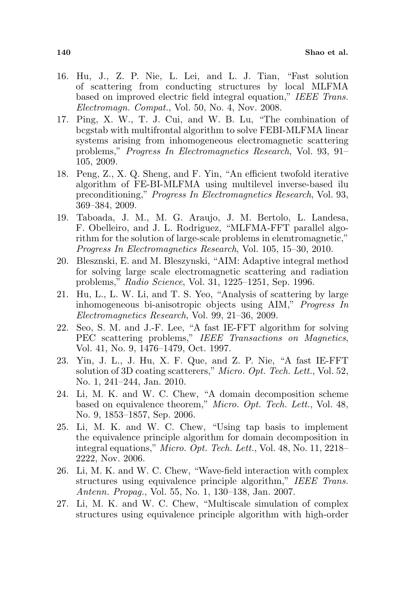- 16. Hu, J., Z. P. Nie, L. Lei, and L. J. Tian, "Fast solution of scattering from conducting structures by local MLFMA based on improved electric field integral equation," IEEE Trans. Electromagn. Compat., Vol. 50, No. 4, Nov. 2008.
- 17. Ping, X. W., T. J. Cui, and W. B. Lu, "The combination of bcgstab with multifrontal algorithm to solve FEBI-MLFMA linear systems arising from inhomogeneous electromagnetic scattering problems," Progress In Electromagnetics Research, Vol. 93, 91– 105, 2009.
- 18. Peng, Z., X. Q. Sheng, and F. Yin, "An efficient twofold iterative algorithm of FE-BI-MLFMA using multilevel inverse-based ilu preconditioning," Progress In Electromagnetics Research, Vol. 93, 369–384, 2009.
- 19. Taboada, J. M., M. G. Araujo, J. M. Bertolo, L. Landesa, F. Obelleiro, and J. L. Rodriguez, "MLFMA-FFT parallel algorithm for the solution of large-scale problems in elemtromagnetic," Progress In Electromagnetics Research, Vol. 105, 15–30, 2010.
- 20. Blesznski, E. and M. Bleszynski, "AIM: Adaptive integral method for solving large scale electromagnetic scattering and radiation problems," Radio Science, Vol. 31, 1225–1251, Sep. 1996.
- 21. Hu, L., L. W. Li, and T. S. Yeo, "Analysis of scattering by large inhomogeneous bi-anisotropic objects using AIM," Progress In Electromagnetics Research, Vol. 99, 21–36, 2009.
- 22. Seo, S. M. and J.-F. Lee, "A fast IE-FFT algorithm for solving PEC scattering problems," IEEE Transactions on Magnetics, Vol. 41, No. 9, 1476–1479, Oct. 1997.
- 23. Yin, J. L., J. Hu, X. F. Que, and Z. P. Nie, "A fast IE-FFT solution of 3D coating scatterers," Micro. Opt. Tech. Lett., Vol. 52, No. 1, 241–244, Jan. 2010.
- 24. Li, M. K. and W. C. Chew, "A domain decomposition scheme based on equivalence theorem," Micro. Opt. Tech. Lett., Vol. 48, No. 9, 1853–1857, Sep. 2006.
- 25. Li, M. K. and W. C. Chew, "Using tap basis to implement the equivalence principle algorithm for domain decomposition in integral equations," Micro. Opt. Tech. Lett., Vol. 48, No. 11, 2218– 2222, Nov. 2006.
- 26. Li, M. K. and W. C. Chew, "Wave-field interaction with complex structures using equivalence principle algorithm," IEEE Trans. Antenn. Propag., Vol. 55, No. 1, 130–138, Jan. 2007.
- 27. Li, M. K. and W. C. Chew, "Multiscale simulation of complex structures using equivalence principle algorithm with high-order